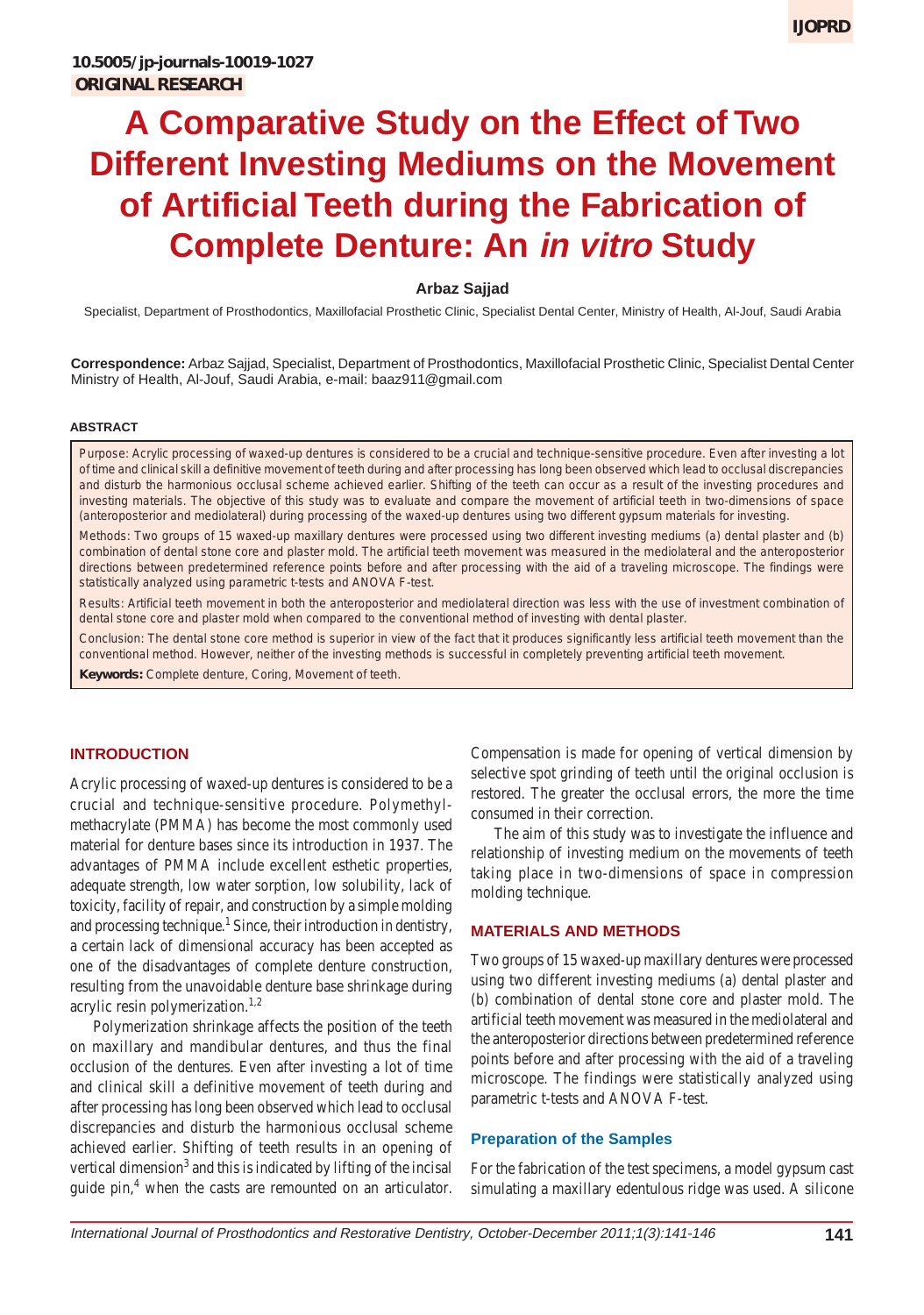# **A Comparative Study on the Effect of Two Different Investing Mediums on the Movement of Artificial Teeth during the Fabrication of Complete Denture: An in vitro Study**

## **Arbaz Sajjad**

Specialist, Department of Prosthodontics, Maxillofacial Prosthetic Clinic, Specialist Dental Center, Ministry of Health, Al-Jouf, Saudi Arabia

**Correspondence:** Arbaz Sajjad, Specialist, Department of Prosthodontics, Maxillofacial Prosthetic Clinic, Specialist Dental Center Ministry of Health, Al-Jouf, Saudi Arabia, e-mail: baaz911@gmail.com

#### **ABSTRACT**

*Purpose:* Acrylic processing of waxed-up dentures is considered to be a crucial and technique-sensitive procedure. Even after investing a lot of time and clinical skill a definitive movement of teeth during and after processing has long been observed which lead to occlusal discrepancies and disturb the harmonious occlusal scheme achieved earlier. Shifting of the teeth can occur as a result of the investing procedures and investing materials. The objective of this study was to evaluate and compare the movement of artificial teeth in two-dimensions of space (anteroposterior and mediolateral) during processing of the waxed-up dentures using two different gypsum materials for investing.

*Methods*: Two groups of 15 waxed-up maxillary dentures were processed using two different investing mediums (a) dental plaster and (b) combination of dental stone core and plaster mold. The artificial teeth movement was measured in the mediolateral and the anteroposterior directions between predetermined reference points before and after processing with the aid of a traveling microscope. The findings were statistically analyzed using parametric t-tests and ANOVA F-test*.*

*Results:* Artificial teeth movement in both the anteroposterior and mediolateral direction was less with the use of investment combination of dental stone core and plaster mold when compared to the conventional method of investing with dental plaster.

*Conclusion:* The dental stone core method is superior in view of the fact that it produces significantly less artificial teeth movement than the conventional method. However, neither of the investing methods is successful in completely preventing artificial teeth movement.

**Keywords:** Complete denture, Coring, Movement of teeth.

## **INTRODUCTION**

Acrylic processing of waxed-up dentures is considered to be a crucial and technique-sensitive procedure. Polymethylmethacrylate (PMMA) has become the most commonly used material for denture bases since its introduction in 1937. The advantages of PMMA include excellent esthetic properties, adequate strength, low water sorption, low solubility, lack of toxicity, facility of repair, and construction by a simple molding and processing technique.<sup>1</sup> Since, their introduction in dentistry, a certain lack of dimensional accuracy has been accepted as one of the disadvantages of complete denture construction, resulting from the unavoidable denture base shrinkage during acrylic resin polymerization.<sup>1,2</sup>

Polymerization shrinkage affects the position of the teeth on maxillary and mandibular dentures, and thus the final occlusion of the dentures. Even after investing a lot of time and clinical skill a definitive movement of teeth during and after processing has long been observed which lead to occlusal discrepancies and disturb the harmonious occlusal scheme achieved earlier. Shifting of teeth results in an opening of vertical dimension<sup>3</sup> and this is indicated by lifting of the incisal guide pin,<sup>4</sup> when the casts are remounted on an articulator.

Compensation is made for opening of vertical dimension by selective spot grinding of teeth until the original occlusion is restored. The greater the occlusal errors, the more the time consumed in their correction.

The aim of this study was to investigate the influence and relationship of investing medium on the movements of teeth taking place in two-dimensions of space in compression molding technique.

### **MATERIALS AND METHODS**

Two groups of 15 waxed-up maxillary dentures were processed using two different investing mediums (a) dental plaster and (b) combination of dental stone core and plaster mold. The artificial teeth movement was measured in the mediolateral and the anteroposterior directions between predetermined reference points before and after processing with the aid of a traveling microscope. The findings were statistically analyzed using parametric t-tests and ANOVA F-test.

### **Preparation of the Samples**

For the fabrication of the test specimens, a model gypsum cast simulating a maxillary edentulous ridge was used. A silicone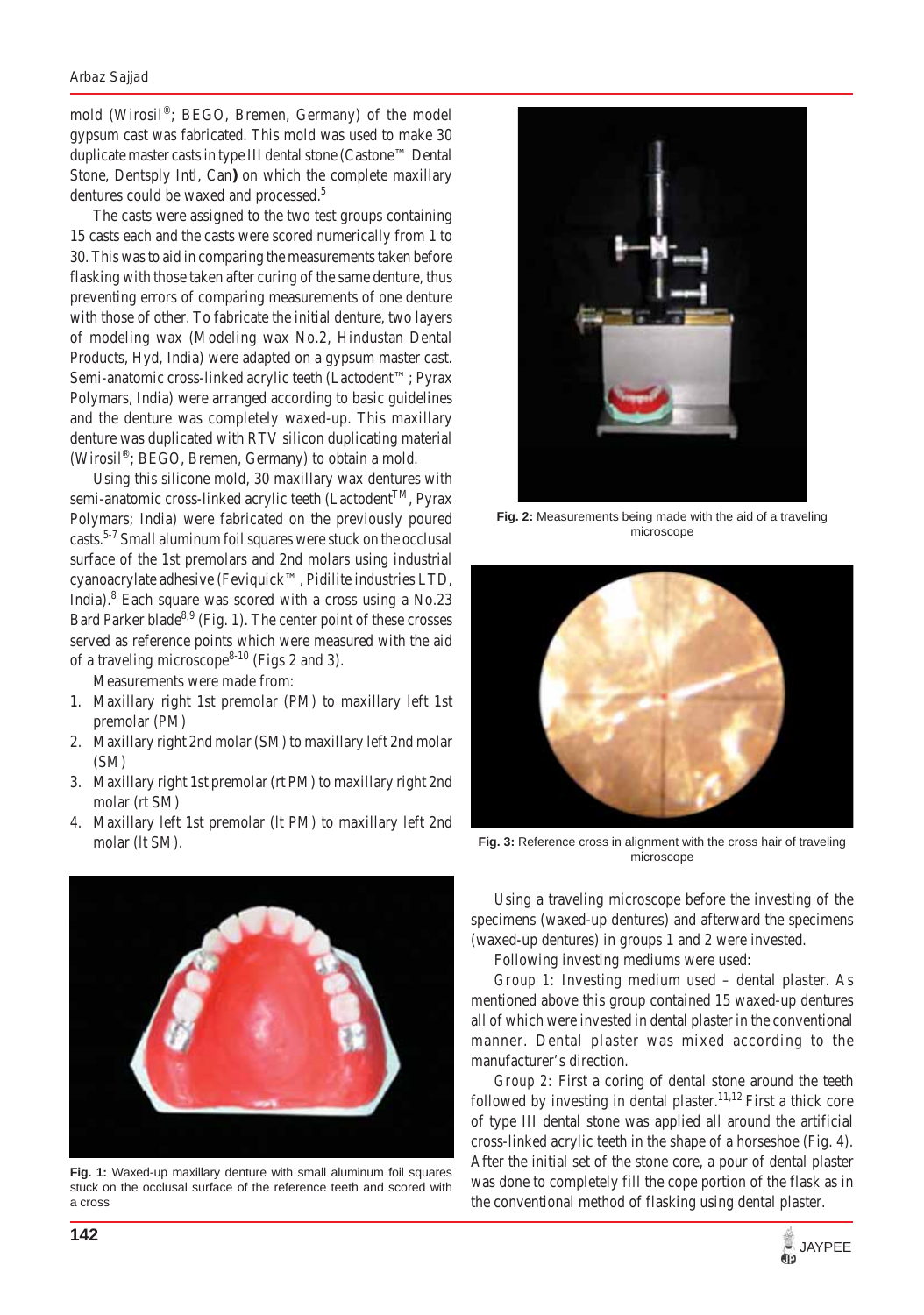#### *Arbaz Sajjad*

mold (Wirosil®; BEGO, Bremen, Germany) of the model gypsum cast was fabricated. This mold was used to make 30 duplicate master casts in type III dental stone (Castone™ Dental Stone, Dentsply Intl, Can**)** on which the complete maxillary dentures could be waxed and processed.<sup>5</sup>

The casts were assigned to the two test groups containing 15 casts each and the casts were scored numerically from 1 to 30. This was to aid in comparing the measurements taken before flasking with those taken after curing of the same denture, thus preventing errors of comparing measurements of one denture with those of other. To fabricate the initial denture, two layers of modeling wax (Modeling wax No.2, Hindustan Dental Products, Hyd, India) were adapted on a gypsum master cast. Semi-anatomic cross-linked acrylic teeth (Lactodent™; Pyrax Polymars, India) were arranged according to basic guidelines and the denture was completely waxed-up. This maxillary denture was duplicated with RTV silicon duplicating material (Wirosil®; BEGO, Bremen, Germany) to obtain a mold.

Using this silicone mold, 30 maxillary wax dentures with semi-anatomic cross-linked acrylic teeth (Lactodent<sup>TM</sup>, Pyrax Polymars; India) were fabricated on the previously poured casts.5-7 Small aluminum foil squares were stuck on the occlusal surface of the 1st premolars and 2nd molars using industrial cyanoacrylate adhesive (Feviquick™, Pidilite industries LTD, India).<sup>8</sup> Each square was scored with a cross using a No.23 Bard Parker blade<sup>8,9</sup> (Fig. 1). The center point of these crosses served as reference points which were measured with the aid of a traveling microscope<sup>8-10</sup> (Figs 2 and 3).

Measurements were made from:

- 1. Maxillary right 1st premolar (PM) to maxillary left 1st premolar (PM)
- 2. Maxillary right 2nd molar (SM) to maxillary left 2nd molar (SM)
- 3. Maxillary right 1st premolar (rt PM) to maxillary right 2nd molar (rt SM)
- 4. Maxillary left 1st premolar (lt PM) to maxillary left 2nd molar (lt SM).



**Fig. 1:** Waxed-up maxillary denture with small aluminum foil squares stuck on the occlusal surface of the reference teeth and scored with a cross



**Fig. 2:** Measurements being made with the aid of a traveling microscope



**Fig. 3:** Reference cross in alignment with the cross hair of traveling microscope

Using a traveling microscope before the investing of the specimens (waxed-up dentures) and afterward the specimens (waxed-up dentures) in groups 1 and 2 were invested.

Following investing mediums were used:

*Group 1:* Investing medium used – dental plaster. As mentioned above this group contained 15 waxed-up dentures all of which were invested in dental plaster in the conventional manner. Dental plaster was mixed according to the manufacturer's direction.

*Group 2:* First a coring of dental stone around the teeth followed by investing in dental plaster.<sup>11,12</sup> First a thick core of type III dental stone was applied all around the artificial cross-linked acrylic teeth in the shape of a horseshoe (Fig. 4). After the initial set of the stone core, a pour of dental plaster was done to completely fill the cope portion of the flask as in the conventional method of flasking using dental plaster.

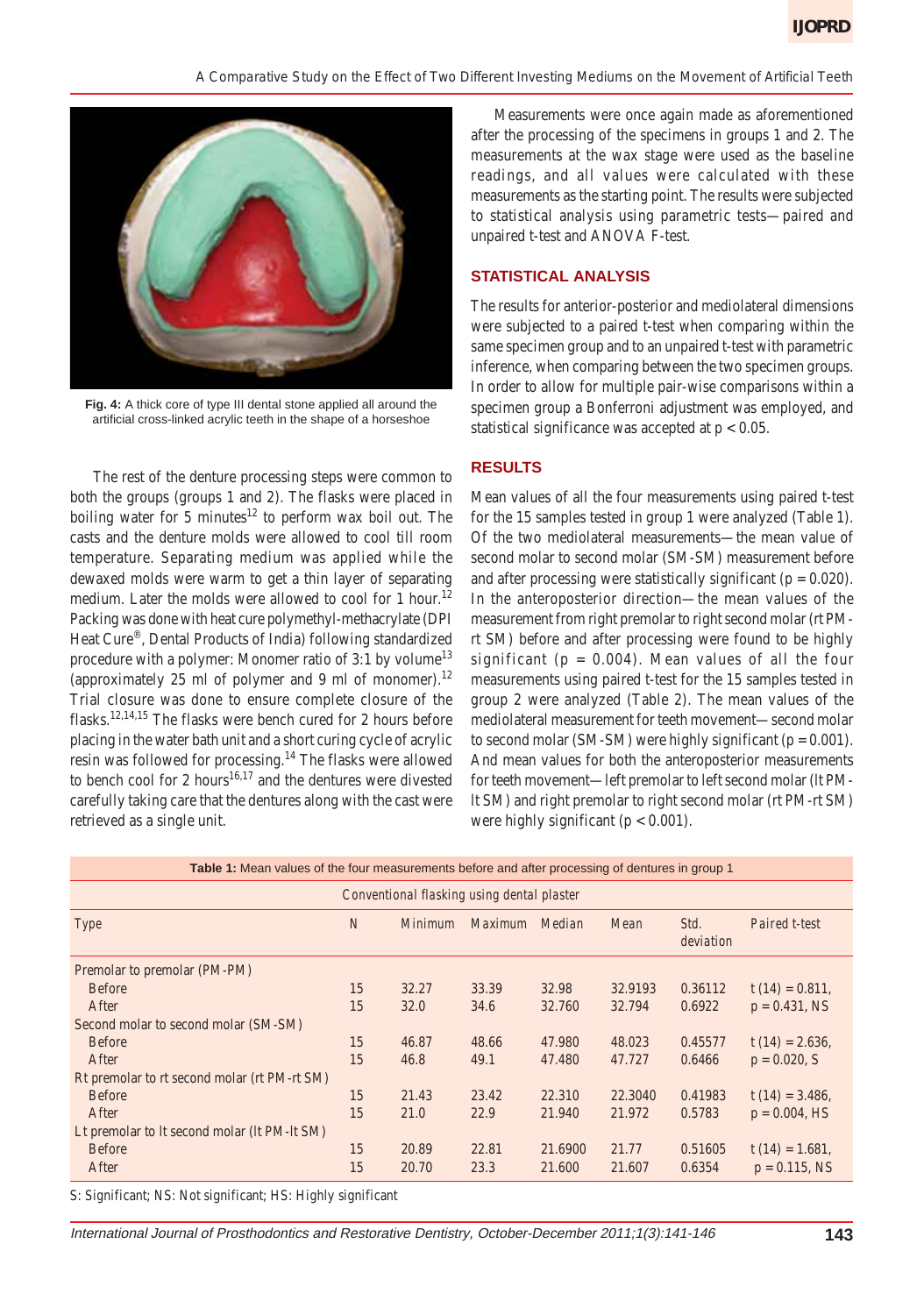

**Fig. 4:** A thick core of type III dental stone applied all around the artificial cross-linked acrylic teeth in the shape of a horseshoe

The rest of the denture processing steps were common to both the groups (groups 1 and 2). The flasks were placed in boiling water for 5 minutes<sup>12</sup> to perform wax boil out. The casts and the denture molds were allowed to cool till room temperature. Separating medium was applied while the dewaxed molds were warm to get a thin layer of separating medium. Later the molds were allowed to cool for 1 hour.<sup>12</sup> Packing was done with heat cure polymethyl-methacrylate (DPI Heat Cure®, Dental Products of India) following standardized procedure with a polymer: Monomer ratio of 3:1 by volume<sup>13</sup> (approximately 25 ml of polymer and 9 ml of monomer).<sup>12</sup> Trial closure was done to ensure complete closure of the flasks.<sup>12,14,15</sup> The flasks were bench cured for 2 hours before placing in the water bath unit and a short curing cycle of acrylic resin was followed for processing.14 The flasks were allowed to bench cool for 2 hours<sup>16,17</sup> and the dentures were divested carefully taking care that the dentures along with the cast were retrieved as a single unit.

Measurements were once again made as aforementioned after the processing of the specimens in groups 1 and 2. The measurements at the wax stage were used as the baseline readings, and all values were calculated with these measurements as the starting point. The results were subjected to statistical analysis using parametric tests—paired and unpaired t-test and ANOVA F-test.

## **STATISTICAL ANALYSIS**

The results for anterior-posterior and mediolateral dimensions were subjected to a paired t-test when comparing within the same specimen group and to an unpaired t-test with parametric inference, when comparing between the two specimen groups. In order to allow for multiple pair-wise comparisons within a specimen group a Bonferroni adjustment was employed, and statistical significance was accepted at  $p < 0.05$ .

# **RESULTS**

Mean values of all the four measurements using paired t-test for the 15 samples tested in group 1 were analyzed (Table 1). Of the two mediolateral measurements—the mean value of second molar to second molar (SM-SM) measurement before and after processing were statistically significant ( $p = 0.020$ ). In the anteroposterior direction—the mean values of the measurement from right premolar to right second molar (rt PMrt SM) before and after processing were found to be highly significant ( $p = 0.004$ ). Mean values of all the four measurements using paired t-test for the 15 samples tested in group 2 were analyzed (Table 2). The mean values of the mediolateral measurement for teeth movement—second molar to second molar (SM-SM) were highly significant ( $p = 0.001$ ). And mean values for both the anteroposterior measurements for teeth movement—left premolar to left second molar (lt PMlt SM) and right premolar to right second molar (rt PM-rt SM) were highly significant ( $p < 0.001$ ).

**Table 1:** Mean values of the four measurements before and after processing of dentures in group 1

| Conventional flasking using dental plaster   |                |         |                |         |         |                   |                    |
|----------------------------------------------|----------------|---------|----------------|---------|---------|-------------------|--------------------|
| Type                                         | $\overline{N}$ | Minimum | <i>Maximum</i> | Median  | Mean    | Std.<br>deviation | Paired t-test      |
| Premolar to premolar (PM-PM)                 |                |         |                |         |         |                   |                    |
| <b>Before</b>                                | 15             | 32.27   | 33.39          | 32.98   | 32.9193 | 0.36112           | $t(14) = 0.811$ ,  |
| After                                        | 15             | 32.0    | 34.6           | 32.760  | 32.794  | 0.6922            | $p = 0.431$ , NS   |
| Second molar to second molar (SM-SM)         |                |         |                |         |         |                   |                    |
| <b>Before</b>                                | 15             | 46.87   | 48.66          | 47.980  | 48.023  | 0.45577           | t $(14) = 2.636$ , |
| After                                        | 15             | 46.8    | 49.1           | 47.480  | 47.727  | 0.6466            | $p = 0.020, S$     |
| Rt premolar to rt second molar (rt PM-rt SM) |                |         |                |         |         |                   |                    |
| <b>Before</b>                                | 15             | 21.43   | 23.42          | 22.310  | 22.3040 | 0.41983           | t $(14) = 3.486$ , |
| After                                        | 15             | 21.0    | 22.9           | 21.940  | 21.972  | 0.5783            | $p = 0.004$ , HS   |
| Lt premolar to lt second molar (lt PM-lt SM) |                |         |                |         |         |                   |                    |
| <b>Before</b>                                | 15             | 20.89   | 22.81          | 21.6900 | 21.77   | 0.51605           | $t(14) = 1.681,$   |
| After                                        | 15             | 20.70   | 23.3           | 21.600  | 21.607  | 0.6354            | $p = 0.115$ , NS   |

S: Significant; NS: Not significant; HS: Highly significant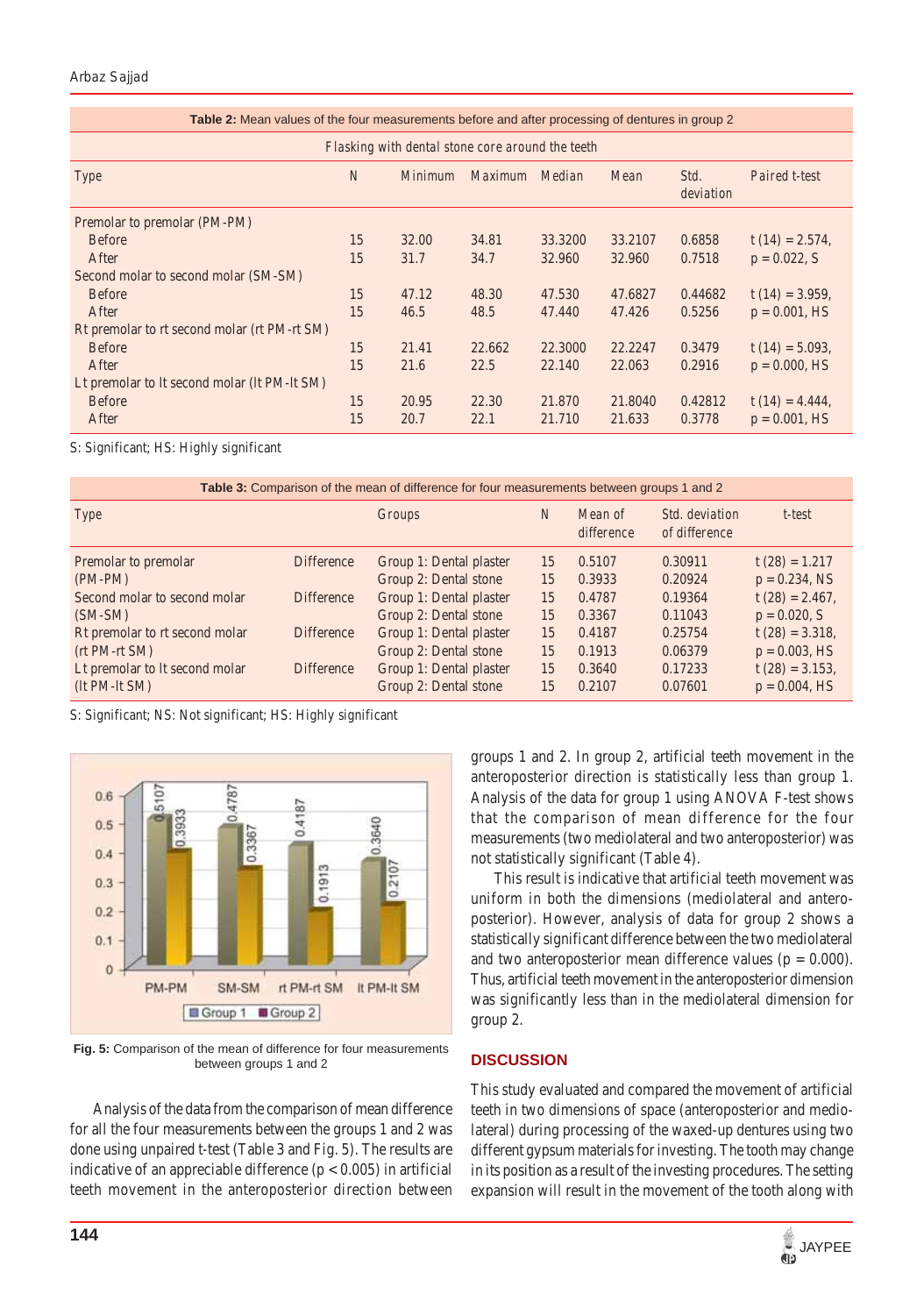## *Arbaz Sajjad*

| <b>Table 2:</b> Mean values of the four measurements before and after processing of dentures in group 2 |                |         |                |         |         |                   |                    |
|---------------------------------------------------------------------------------------------------------|----------------|---------|----------------|---------|---------|-------------------|--------------------|
| Flasking with dental stone core around the teeth                                                        |                |         |                |         |         |                   |                    |
| Type                                                                                                    | $\overline{N}$ | Minimum | <i>Maximum</i> | Median  | Mean    | Std.<br>deviation | Paired t-test      |
| Premolar to premolar (PM-PM)                                                                            |                |         |                |         |         |                   |                    |
| <b>Before</b>                                                                                           | 15             | 32.00   | 34.81          | 33.3200 | 33.2107 | 0.6858            | t $(14) = 2.574$ , |
| After                                                                                                   | 15             | 31.7    | 34.7           | 32.960  | 32.960  | 0.7518            | $p = 0.022$ , S    |
| Second molar to second molar (SM-SM)                                                                    |                |         |                |         |         |                   |                    |
| <b>Before</b>                                                                                           | 15             | 47.12   | 48.30          | 47.530  | 47.6827 | 0.44682           | $t(14) = 3.959$ ,  |
| After                                                                                                   | 15             | 46.5    | 48.5           | 47.440  | 47.426  | 0.5256            | $p = 0.001$ , HS   |
| Rt premolar to rt second molar (rt PM-rt SM)                                                            |                |         |                |         |         |                   |                    |
| <b>Before</b>                                                                                           | 15             | 21.41   | 22.662         | 22,3000 | 22.2247 | 0.3479            | t $(14) = 5.093$ , |
| After                                                                                                   | 15             | 21.6    | 22.5           | 22.140  | 22.063  | 0.2916            | $p = 0.000, HS$    |
| Lt premolar to lt second molar (lt PM-lt SM)                                                            |                |         |                |         |         |                   |                    |
| <b>Before</b>                                                                                           | 15             | 20.95   | 22.30          | 21.870  | 21.8040 | 0.42812           | t $(14) = 4.444$ , |
| After                                                                                                   | 15             | 20.7    | 22.1           | 21.710  | 21.633  | 0.3778            | $p = 0.001$ , HS   |

S: Significant; HS: Highly significant

| Table 3: Comparison of the mean of difference for four measurements between groups 1 and 2 |                   |                         |                |                       |                                 |                   |  |
|--------------------------------------------------------------------------------------------|-------------------|-------------------------|----------------|-----------------------|---------------------------------|-------------------|--|
| Type                                                                                       |                   | <b>Groups</b>           | $\overline{N}$ | Mean of<br>difference | Std. deviation<br>of difference | $t$ -test         |  |
| Premolar to premolar                                                                       | Difference        | Group 1: Dental plaster | 15             | 0.5107                | 0.30911                         | $t(28) = 1.217$   |  |
| $(PM-PM)$                                                                                  |                   | Group 2: Dental stone   | 15             | 0.3933                | 0.20924                         | $p = 0.234$ , NS  |  |
| Second molar to second molar                                                               | <b>Difference</b> | Group 1: Dental plaster | 15             | 0.4787                | 0.19364                         | $t(28) = 2.467$ , |  |
| $(SM-SM)$                                                                                  |                   | Group 2: Dental stone   | 15             | 0.3367                | 0.11043                         | $p = 0.020, S$    |  |
| Rt premolar to rt second molar                                                             | <b>Difference</b> | Group 1: Dental plaster | 15             | 0.4187                | 0.25754                         | $t(28) = 3.318,$  |  |
| $(rt PM-rt SM)$                                                                            |                   | Group 2: Dental stone   | 15             | 0.1913                | 0.06379                         | $p = 0.003$ , HS  |  |
| Lt premolar to It second molar                                                             | Difference        | Group 1: Dental plaster | 15             | 0.3640                | 0.17233                         | $t(28) = 3.153$ , |  |
| $(lt PM-lt SM)$                                                                            |                   | Group 2: Dental stone   | 15             | 0.2107                | 0.07601                         | $p = 0.004$ , HS  |  |

S: Significant; NS: Not significant; HS: Highly significant



**Fig. 5:** Comparison of the mean of difference for four measurements between groups 1 and 2

Analysis of the data from the comparison of mean difference for all the four measurements between the groups 1 and 2 was done using unpaired t-test (Table 3 and Fig. 5). The results are indicative of an appreciable difference  $(p < 0.005)$  in artificial teeth movement in the anteroposterior direction between groups 1 and 2. In group 2, artificial teeth movement in the anteroposterior direction is statistically less than group 1. Analysis of the data for group 1 using ANOVA F-test shows that the comparison of mean difference for the four measurements (two mediolateral and two anteroposterior) was not statistically significant (Table 4).

This result is indicative that artificial teeth movement was uniform in both the dimensions (mediolateral and anteroposterior). However, analysis of data for group 2 shows a statistically significant difference between the two mediolateral and two anteroposterior mean difference values ( $p = 0.000$ ). Thus, artificial teeth movement in the anteroposterior dimension was significantly less than in the mediolateral dimension for group 2.

## **DISCUSSION**

This study evaluated and compared the movement of artificial teeth in two dimensions of space (anteroposterior and mediolateral) during processing of the waxed-up dentures using two different gypsum materials for investing. The tooth may change in its position as a result of the investing procedures. The setting expansion will result in the movement of the tooth along with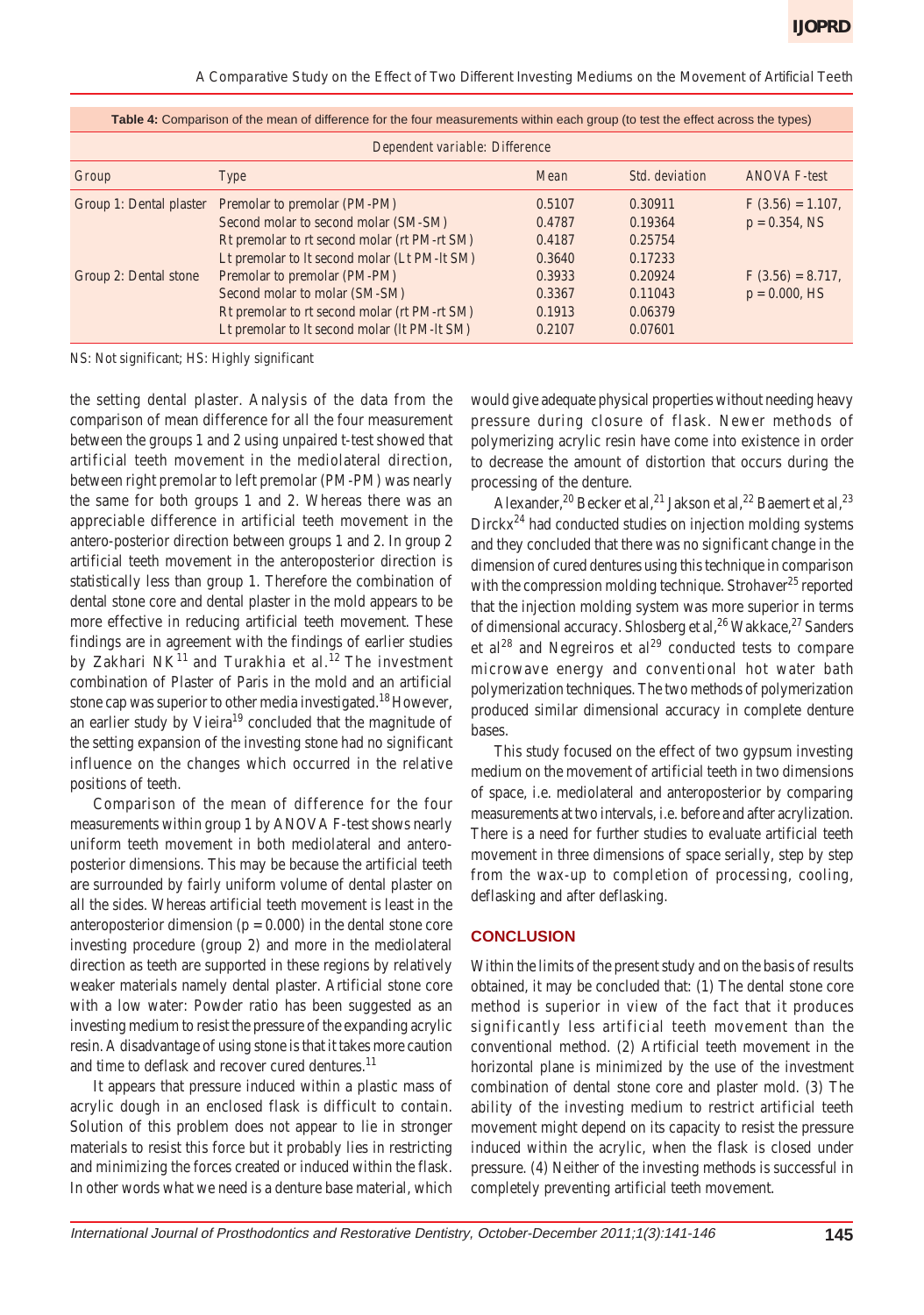| Dependent variable: Difference |                                              |        |                |                     |  |  |
|--------------------------------|----------------------------------------------|--------|----------------|---------------------|--|--|
| Group                          | Type                                         | Mean   | Std. deviation | ANOVA F-test        |  |  |
| Group 1: Dental plaster        | Premolar to premolar (PM-PM)                 | 0.5107 | 0.30911        | $F(3.56) = 1.107$ , |  |  |
|                                | Second molar to second molar (SM-SM)         | 0.4787 | 0.19364        | $p = 0.354$ , NS    |  |  |
|                                | Rt premolar to rt second molar (rt PM-rt SM) | 0.4187 | 0.25754        |                     |  |  |
|                                | Lt premolar to lt second molar (Lt PM-lt SM) | 0.3640 | 0.17233        |                     |  |  |
| Group 2: Dental stone          | Premolar to premolar (PM-PM)                 | 0.3933 | 0.20924        | $F(3.56) = 8.717$ , |  |  |
|                                | Second molar to molar (SM-SM)                | 0.3367 | 0.11043        | $p = 0.000, HS$     |  |  |
|                                | Rt premolar to rt second molar (rt PM-rt SM) | 0.1913 | 0.06379        |                     |  |  |
|                                | Lt premolar to lt second molar (lt PM-lt SM) | 0.2107 | 0.07601        |                     |  |  |

**Table 4:** Comparison of the mean of difference for the four measurements within each group (to test the effect across the types)

NS: Not significant; HS: Highly significant

the setting dental plaster. Analysis of the data from the comparison of mean difference for all the four measurement between the groups 1 and 2 using unpaired t-test showed that artificial teeth movement in the mediolateral direction, between right premolar to left premolar (PM-PM) was nearly the same for both groups 1 and 2. Whereas there was an appreciable difference in artificial teeth movement in the antero-posterior direction between groups 1 and 2. In group 2 artificial teeth movement in the anteroposterior direction is statistically less than group 1. Therefore the combination of dental stone core and dental plaster in the mold appears to be more effective in reducing artificial teeth movement. These findings are in agreement with the findings of earlier studies by Zakhari  $NK^{11}$  and Turakhia et al.<sup>12</sup> The investment combination of Plaster of Paris in the mold and an artificial stone cap was superior to other media investigated.<sup>18</sup> However, an earlier study by Vieira $19$  concluded that the magnitude of the setting expansion of the investing stone had no significant influence on the changes which occurred in the relative positions of teeth.

Comparison of the mean of difference for the four measurements within group 1 by ANOVA F-test shows nearly uniform teeth movement in both mediolateral and anteroposterior dimensions. This may be because the artificial teeth are surrounded by fairly uniform volume of dental plaster on all the sides. Whereas artificial teeth movement is least in the anteroposterior dimension ( $p = 0.000$ ) in the dental stone core investing procedure (group 2) and more in the mediolateral direction as teeth are supported in these regions by relatively weaker materials namely dental plaster. Artificial stone core with a low water: Powder ratio has been suggested as an investing medium to resist the pressure of the expanding acrylic resin. A disadvantage of using stone is that it takes more caution and time to deflask and recover cured dentures.<sup>11</sup>

It appears that pressure induced within a plastic mass of acrylic dough in an enclosed flask is difficult to contain. Solution of this problem does not appear to lie in stronger materials to resist this force but it probably lies in restricting and minimizing the forces created or induced within the flask. In other words what we need is a denture base material, which

would give adequate physical properties without needing heavy pressure during closure of flask. Newer methods of polymerizing acrylic resin have come into existence in order to decrease the amount of distortion that occurs during the processing of the denture.

Alexander,<sup>20</sup> Becker et al,<sup>21</sup> Jakson et al,<sup>22</sup> Baemert et al,<sup>23</sup>  $Dirckx<sup>24</sup>$  had conducted studies on injection molding systems and they concluded that there was no significant change in the dimension of cured dentures using this technique in comparison with the compression molding technique. Strohaver<sup>25</sup> reported that the injection molding system was more superior in terms of dimensional accuracy. Shlosberg et al,  $^{26}$  Wakkace,  $^{27}$  Sanders et al<sup>28</sup> and Negreiros et al<sup>29</sup> conducted tests to compare microwave energy and conventional hot water bath polymerization techniques. The two methods of polymerization produced similar dimensional accuracy in complete denture bases.

This study focused on the effect of two gypsum investing medium on the movement of artificial teeth in two dimensions of space, i.e. mediolateral and anteroposterior by comparing measurements at two intervals, i.e. before and after acrylization. There is a need for further studies to evaluate artificial teeth movement in three dimensions of space serially, step by step from the wax-up to completion of processing, cooling, deflasking and after deflasking.

#### **CONCLUSION**

Within the limits of the present study and on the basis of results obtained, it may be concluded that: (1) The dental stone core method is superior in view of the fact that it produces significantly less artificial teeth movement than the conventional method. (2) Artificial teeth movement in the horizontal plane is minimized by the use of the investment combination of dental stone core and plaster mold. (3) The ability of the investing medium to restrict artificial teeth movement might depend on its capacity to resist the pressure induced within the acrylic, when the flask is closed under pressure. (4) Neither of the investing methods is successful in completely preventing artificial teeth movement.